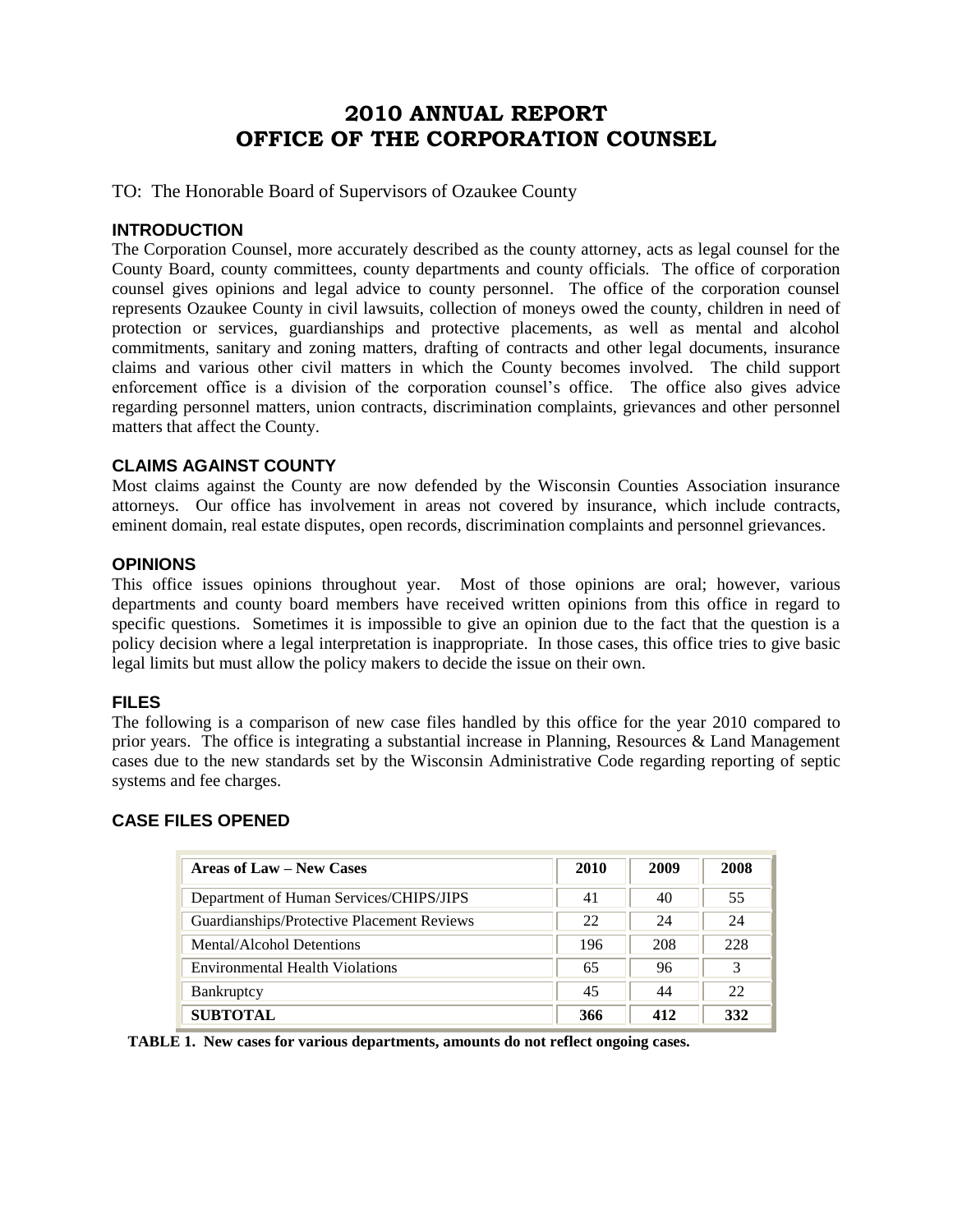## **2010 ANNUAL REPORT OFFICE OF THE CORPORATION COUNSEL**

TO: The Honorable Board of Supervisors of Ozaukee County

#### **INTRODUCTION**

The Corporation Counsel, more accurately described as the county attorney, acts as legal counsel for the County Board, county committees, county departments and county officials. The office of corporation counsel gives opinions and legal advice to county personnel. The office of the corporation counsel represents Ozaukee County in civil lawsuits, collection of moneys owed the county, children in need of protection or services, guardianships and protective placements, as well as mental and alcohol commitments, sanitary and zoning matters, drafting of contracts and other legal documents, insurance claims and various other civil matters in which the County becomes involved. The child support enforcement office is a division of the corporation counsel's office. The office also gives advice regarding personnel matters, union contracts, discrimination complaints, grievances and other personnel matters that affect the County.

#### **CLAIMS AGAINST COUNTY**

Most claims against the County are now defended by the Wisconsin Counties Association insurance attorneys. Our office has involvement in areas not covered by insurance, which include contracts, eminent domain, real estate disputes, open records, discrimination complaints and personnel grievances.

#### **OPINIONS**

This office issues opinions throughout year. Most of those opinions are oral; however, various departments and county board members have received written opinions from this office in regard to specific questions. Sometimes it is impossible to give an opinion due to the fact that the question is a policy decision where a legal interpretation is inappropriate. In those cases, this office tries to give basic legal limits but must allow the policy makers to decide the issue on their own.

#### **FILES**

The following is a comparison of new case files handled by this office for the year 2010 compared to prior years. The office is integrating a substantial increase in Planning, Resources & Land Management cases due to the new standards set by the Wisconsin Administrative Code regarding reporting of septic systems and fee charges.

#### **CASE FILES OPENED**

| <b>Areas of Law – New Cases</b>            | 2010 | 2009 | 2008 |
|--------------------------------------------|------|------|------|
| Department of Human Services/CHIPS/JIPS    | 41   | 40   | 55   |
| Guardianships/Protective Placement Reviews | 22   | 24   | 24   |
| Mental/Alcohol Detentions                  | 196  | 208  | 228  |
| <b>Environmental Health Violations</b>     | 65   | 96   | 3    |
| <b>Bankruptcy</b>                          | 45   | 44   | 22   |
| <b>SUBTOTAL</b>                            | 366  | 412  | 332  |

 **TABLE 1. New cases for various departments, amounts do not reflect ongoing cases.**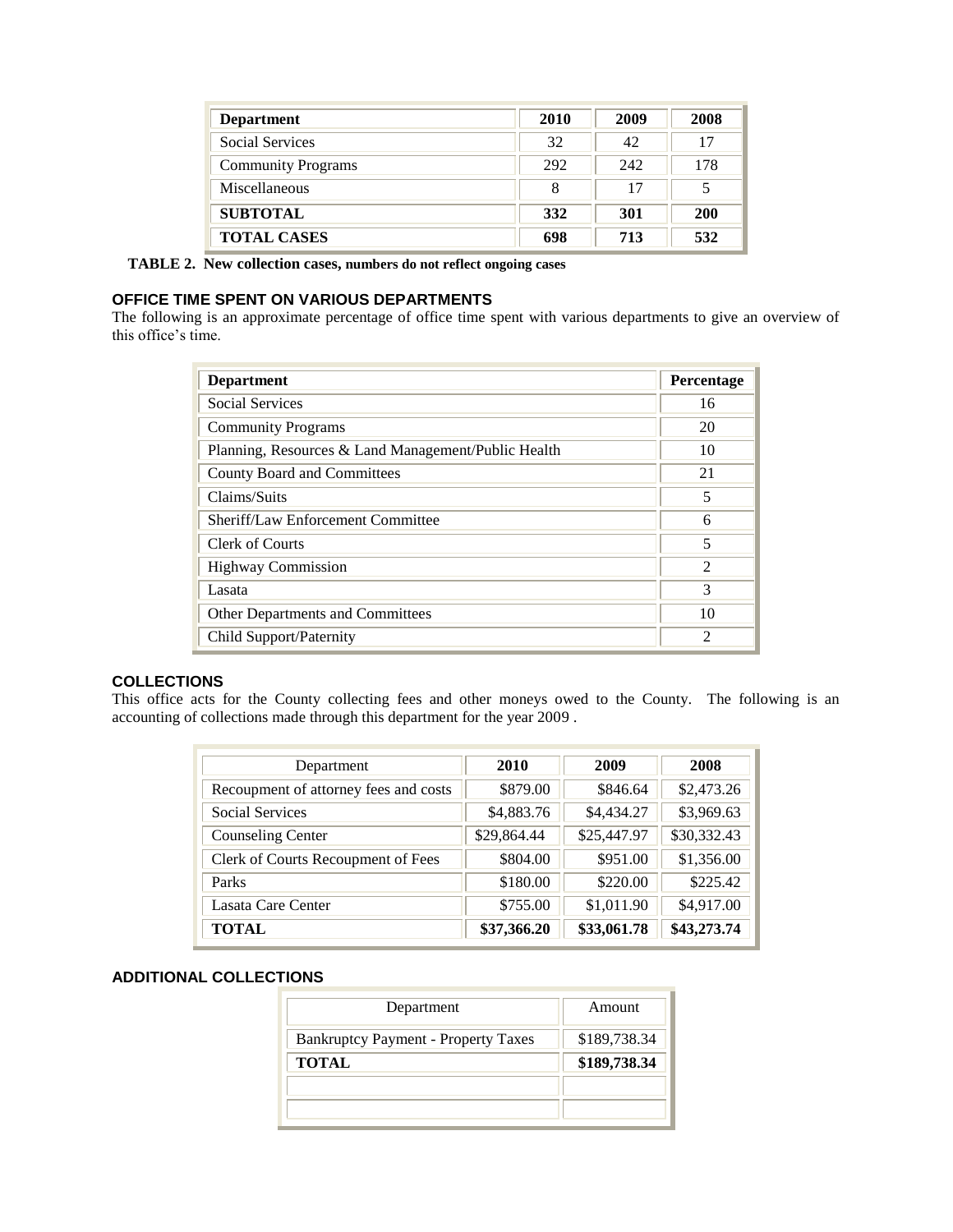| <b>Department</b>         | 2010 | 2009 | 2008       |
|---------------------------|------|------|------------|
| <b>Social Services</b>    | 32   | 42   | 17         |
| <b>Community Programs</b> | 292  | 242  | 178        |
| Miscellaneous             | 8    | 17   |            |
| <b>SUBTOTAL</b>           | 332  | 301  | <b>200</b> |
| <b>TOTAL CASES</b>        | 698  | 713  | 532        |

 **TABLE 2. New collection cases, numbers do not reflect ongoing cases**

#### **OFFICE TIME SPENT ON VARIOUS DEPARTMENTS**

The following is an approximate percentage of office time spent with various departments to give an overview of this office's time.

| <b>Department</b>                                   | Percentage     |
|-----------------------------------------------------|----------------|
| <b>Social Services</b>                              | 16             |
| <b>Community Programs</b>                           | 20             |
| Planning, Resources & Land Management/Public Health | 10             |
| County Board and Committees                         | 21             |
| Claims/Suits                                        | 5              |
| Sheriff/Law Enforcement Committee                   | 6              |
| <b>Clerk of Courts</b>                              | 5              |
| <b>Highway Commission</b>                           | $\mathfrak{D}$ |
| Lasata                                              | 3              |
| <b>Other Departments and Committees</b>             | 10             |
| Child Support/Paternity                             | $\mathfrak{D}$ |

#### **COLLECTIONS**

This office acts for the County collecting fees and other moneys owed to the County. The following is an accounting of collections made through this department for the year 2009 .

| Department                            | 2010        | 2009        | 2008        |
|---------------------------------------|-------------|-------------|-------------|
| Recoupment of attorney fees and costs | \$879.00    | \$846.64    | \$2,473.26  |
| <b>Social Services</b>                | \$4,883.76  | \$4,434.27  | \$3,969.63  |
| <b>Counseling Center</b>              | \$29,864.44 | \$25,447.97 | \$30,332.43 |
| Clerk of Courts Recoupment of Fees    | \$804.00    | \$951.00    | \$1,356.00  |
| Parks                                 | \$180.00    | \$220.00    | \$225.42    |
| Lasata Care Center                    | \$755.00    | \$1,011.90  | \$4,917.00  |
| <b>TOTAL</b>                          | \$37,366.20 | \$33,061.78 | \$43,273.74 |

#### **ADDITIONAL COLLECTIONS**

| Department                                 | Amount       |
|--------------------------------------------|--------------|
| <b>Bankruptcy Payment - Property Taxes</b> | \$189,738.34 |
| <b>TOTAL</b>                               | \$189,738.34 |
|                                            |              |
|                                            |              |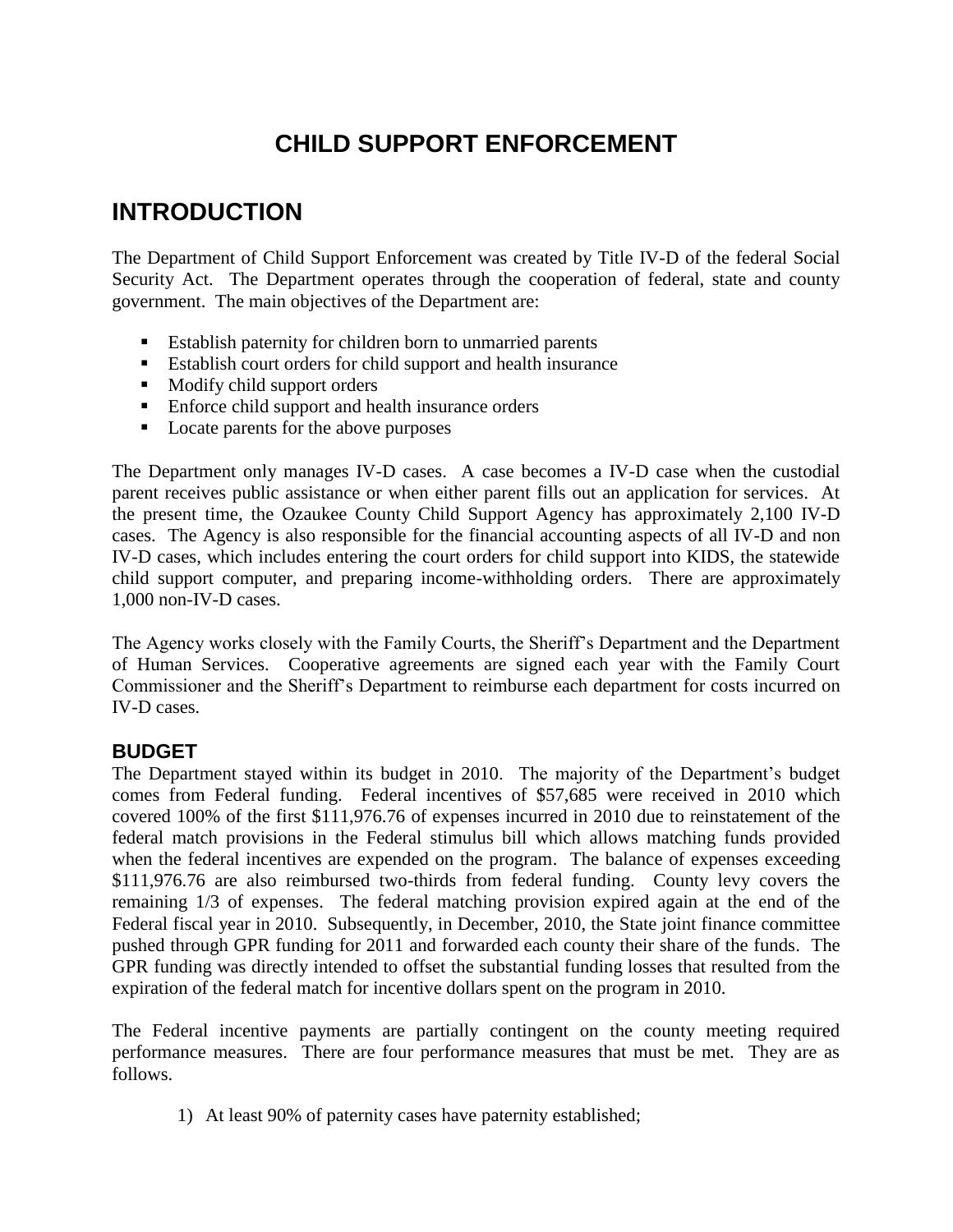# **CHILD SUPPORT ENFORCEMENT**

# **INTRODUCTION**

The Department of Child Support Enforcement was created by Title IV-D of the federal Social Security Act. The Department operates through the cooperation of federal, state and county government. The main objectives of the Department are:

- Establish paternity for children born to unmarried parents
- Establish court orders for child support and health insurance
- **Modify child support orders**
- Enforce child support and health insurance orders
- **Locate parents for the above purposes**

The Department only manages IV-D cases. A case becomes a IV-D case when the custodial parent receives public assistance or when either parent fills out an application for services. At the present time, the Ozaukee County Child Support Agency has approximately 2,100 IV-D cases. The Agency is also responsible for the financial accounting aspects of all IV-D and non IV-D cases, which includes entering the court orders for child support into KIDS, the statewide child support computer, and preparing income-withholding orders. There are approximately 1,000 non-IV-D cases.

The Agency works closely with the Family Courts, the Sheriff's Department and the Department of Human Services. Cooperative agreements are signed each year with the Family Court Commissioner and the Sheriff's Department to reimburse each department for costs incurred on IV-D cases.

## **BUDGET**

The Department stayed within its budget in 2010. The majority of the Department's budget comes from Federal funding. Federal incentives of \$57,685 were received in 2010 which covered 100% of the first \$111,976.76 of expenses incurred in 2010 due to reinstatement of the federal match provisions in the Federal stimulus bill which allows matching funds provided when the federal incentives are expended on the program. The balance of expenses exceeding \$111,976.76 are also reimbursed two-thirds from federal funding. County levy covers the remaining 1/3 of expenses. The federal matching provision expired again at the end of the Federal fiscal year in 2010. Subsequently, in December, 2010, the State joint finance committee pushed through GPR funding for 2011 and forwarded each county their share of the funds. The GPR funding was directly intended to offset the substantial funding losses that resulted from the expiration of the federal match for incentive dollars spent on the program in 2010.

The Federal incentive payments are partially contingent on the county meeting required performance measures. There are four performance measures that must be met. They are as follows.

1) At least 90% of paternity cases have paternity established;